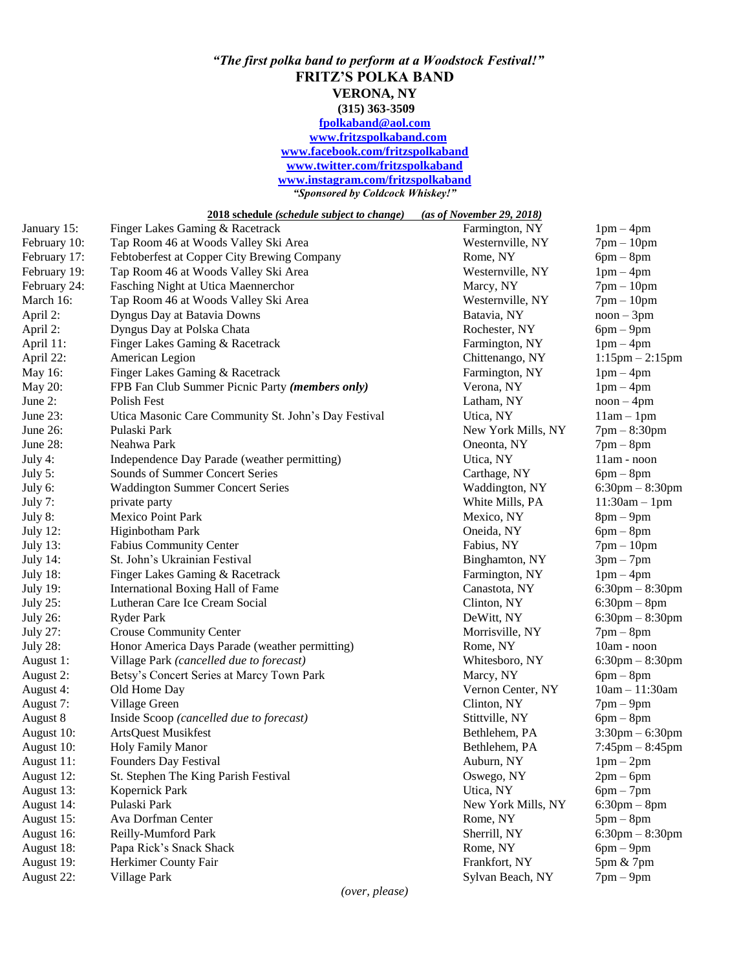## *"The first polka band to perform at a Woodstock Festival!"* **FRITZ'S POLKA BAND VERONA, NY (315) 363-3509 [fpolkaband@aol.com](mailto:fpolkaband@aol.com) [www.fritzspolkaband.com](http://www.fritzspolkaband.com/) [www.facebook.com/fritzspolkaband](http://www.facebook.com/fritzspolkaband) [www.twitter.com/fritzspolkaband](http://www.twitter.com/fritzspolkaband) [www.instagram.com/fritzspolkaband](http://www.instagram.com/fritzspolkaband)** *"Sponsored by Coldcock Whiskey!"*

**2018 schedule** *(schedule subject to change) (as of November 29, 2018)*

| January 15:     | Finger Lakes Gaming & Racetrack                      | Farmington, NY     | $1pm-4pm$            |
|-----------------|------------------------------------------------------|--------------------|----------------------|
| February 10:    | Tap Room 46 at Woods Valley Ski Area                 | Westernville, NY   | $7pm-10pm$           |
| February 17:    | Febtoberfest at Copper City Brewing Company          | Rome, NY           | $6pm - 8pm$          |
| February 19:    | Tap Room 46 at Woods Valley Ski Area                 | Westernville, NY   | $1pm-4pm$            |
| February 24:    | Fasching Night at Utica Maennerchor                  | Marcy, NY          | $7pm-10pm$           |
| March 16:       | Tap Room 46 at Woods Valley Ski Area                 | Westernville, NY   | $7pm-10pm$           |
| April 2:        | Dyngus Day at Batavia Downs                          | Batavia, NY        | $noon - 3pm$         |
| April 2:        | Dyngus Day at Polska Chata                           | Rochester, NY      | $6pm-9pm$            |
| April 11:       | Finger Lakes Gaming & Racetrack                      | Farmington, NY     | $1pm-4pm$            |
| April 22:       | American Legion                                      | Chittenango, NY    | $1:15$ pm $-2:15$ pm |
| May 16:         | Finger Lakes Gaming & Racetrack                      | Farmington, NY     | $1pm-4pm$            |
| May 20:         | FPB Fan Club Summer Picnic Party (members only)      | Verona, NY         | $1pm-4pm$            |
| June 2:         | <b>Polish Fest</b>                                   | Latham, NY         | $noon - 4pm$         |
| June 23:        | Utica Masonic Care Community St. John's Day Festival | Utica, NY          | $11am - 1pm$         |
| June 26:        | Pulaski Park                                         | New York Mills, NY | $7pm - 8:30pm$       |
| June 28:        | Neahwa Park                                          | Oneonta, NY        | $7$ pm $-$ 8pm       |
| July 4:         | Independence Day Parade (weather permitting)         | Utica, NY          | 11am - noon          |
| July 5:         | Sounds of Summer Concert Series                      | Carthage, NY       | $6pm-8pm$            |
| July 6:         | <b>Waddington Summer Concert Series</b>              | Waddington, NY     | $6:30$ pm $-8:30$ pm |
| July 7:         | private party                                        | White Mills, PA    | $11:30am - 1pm$      |
| July 8:         | <b>Mexico Point Park</b>                             | Mexico, NY         | $8pm-9pm$            |
| <b>July 12:</b> | Higinbotham Park                                     | Oneida, NY         | $6pm-8pm$            |
| <b>July 13:</b> | <b>Fabius Community Center</b>                       | Fabius, NY         | $7pm-10pm$           |
| <b>July 14:</b> | St. John's Ukrainian Festival                        | Binghamton, NY     | $3pm-7pm$            |
| <b>July 18:</b> | Finger Lakes Gaming & Racetrack                      | Farmington, NY     | $1pm-4pm$            |
| <b>July 19:</b> | International Boxing Hall of Fame                    | Canastota, NY      | $6:30$ pm $-8:30$ pm |
| <b>July 25:</b> | Lutheran Care Ice Cream Social                       | Clinton, NY        | $6:30$ pm $-8$ pm    |
| <b>July 26:</b> | Ryder Park                                           | DeWitt, NY         | $6:30$ pm $-8:30$ pm |
| <b>July 27:</b> | <b>Crouse Community Center</b>                       | Morrisville, NY    | $7$ pm $-$ 8pm       |
| <b>July 28:</b> | Honor America Days Parade (weather permitting)       | Rome, NY           | 10am - noon          |
| August 1:       | Village Park (cancelled due to forecast)             | Whitesboro, NY     | $6:30$ pm $-8:30$ pm |
| August 2:       | Betsy's Concert Series at Marcy Town Park            | Marcy, NY          | $6pm-8pm$            |
| August 4:       | Old Home Day                                         | Vernon Center, NY  | $10am - 11:30am$     |
| August 7:       | Village Green                                        | Clinton, NY        | $7$ pm $-9$ pm       |
| August 8        | Inside Scoop (cancelled due to forecast)             | Stittville, NY     | $6pm-8pm$            |
| August 10:      | <b>ArtsQuest Musikfest</b>                           | Bethlehem, PA      | $3:30$ pm $-6:30$ pm |
| August 10:      | <b>Holy Family Manor</b>                             | Bethlehem, PA      | $7:45$ pm $-8:45$ pm |
| August 11:      | Founders Day Festival                                | Auburn, NY         | $1pm-2pm$            |
| August 12:      | St. Stephen The King Parish Festival                 | Oswego, NY         | $2pm-6pm$            |
| August 13:      | Kopernick Park                                       | Utica, NY          | $6pm-7pm$            |
| August 14:      | Pulaski Park                                         | New York Mills, NY | $6:30$ pm $-8$ pm    |
| August 15:      | Ava Dorfman Center                                   | Rome, NY           | $5pm-8pm$            |
| August 16:      | Reilly-Mumford Park                                  | Sherrill, NY       | $6:30$ pm $-8:30$ pm |
| August 18:      | Papa Rick's Snack Shack                              | Rome, NY           | $6pm-9pm$            |
| August 19:      | Herkimer County Fair                                 | Frankfort, NY      | 5pm & 7pm            |
| August 22:      | Village Park                                         | Sylvan Beach, NY   | $7$ pm $-9$ pm       |